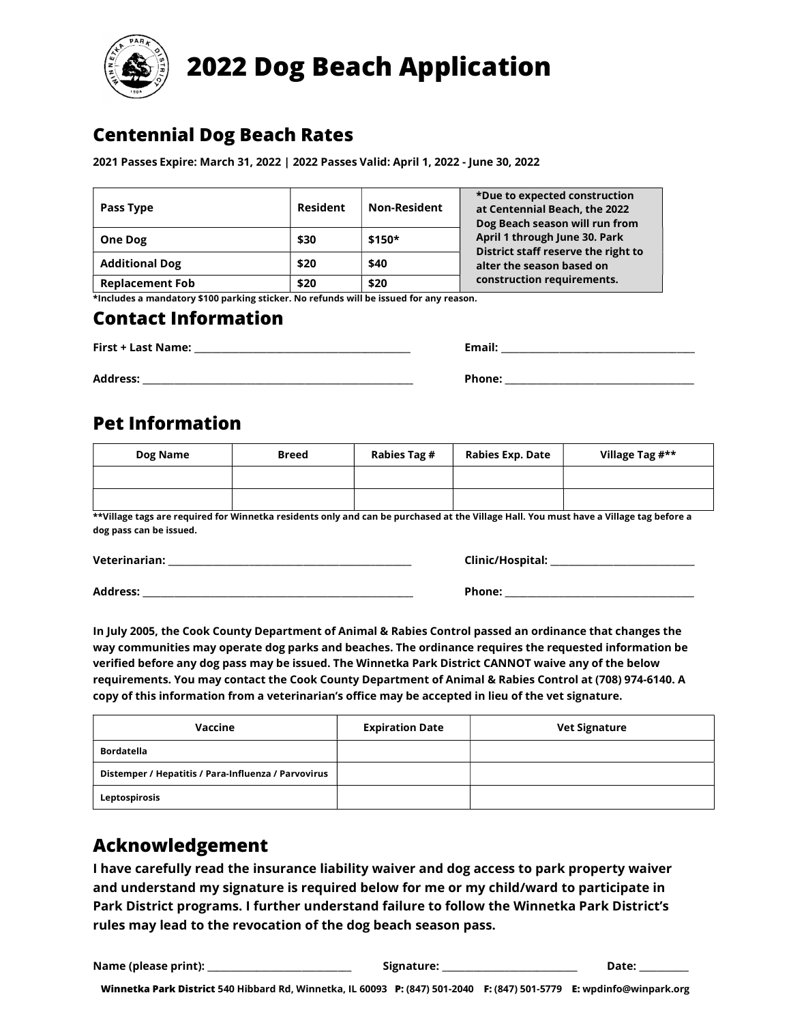

# 2022 Dog Beach Application

### Centennial Dog Beach Rates

2021 Passes Expire: March 31, 2022 | 2022 Passes Valid: April 1, 2022 - June 30, 2022

| Pass Type              | <b>Resident</b> | <b>Non-Resident</b> | *Due to expected construction<br>at Centennial Beach, the 2022<br>Dog Beach season will run from                                |  |
|------------------------|-----------------|---------------------|---------------------------------------------------------------------------------------------------------------------------------|--|
| <b>One Dog</b>         | \$30            | $$150*$             | April 1 through June 30. Park<br>District staff reserve the right to<br>alter the season based on<br>construction requirements. |  |
| <b>Additional Dog</b>  | \$20            | \$40                |                                                                                                                                 |  |
| <b>Replacement Fob</b> | \$20            | \$20                |                                                                                                                                 |  |

\*Includes a mandatory \$100 parking sticker. No refunds will be issued for any reason.

#### Contact Information

| First + Last Name: | Email: |
|--------------------|--------|
| <b>Address:</b>    | Phone: |

## Pet Information

| Dog Name | <b>Breed</b> | Rabies Tag # | Rabies Exp. Date | Village Tag #** |
|----------|--------------|--------------|------------------|-----------------|
|          |              |              |                  |                 |
|          |              |              |                  |                 |

\*\*Village tags are required for Winnetka residents only and can be purchased at the Village Hall. You must have a Village tag before a dog pass can be issued.

Veterinarian: \_\_\_\_\_\_\_\_\_\_\_\_\_\_\_\_\_\_\_\_\_\_\_\_\_\_\_\_\_\_\_\_\_\_\_\_\_\_\_\_\_\_\_\_\_\_\_\_\_\_\_\_\_\_ Clinic/Hospital: \_\_\_\_\_\_\_\_\_\_\_\_\_\_\_\_\_\_\_\_\_\_\_\_\_\_\_\_\_\_\_\_

Address: \_\_\_\_\_\_\_\_\_\_\_\_\_\_\_\_\_\_\_\_\_\_\_\_\_\_\_\_\_\_\_\_\_\_\_\_\_\_\_\_\_\_\_\_\_\_\_\_\_\_\_\_\_\_\_\_\_\_\_\_ Phone: \_\_\_\_\_\_\_\_\_\_\_\_\_\_\_\_\_\_\_\_\_\_\_\_\_\_\_\_\_\_\_\_\_\_\_\_\_\_\_\_\_\_

In July 2005, the Cook County Department of Animal & Rabies Control passed an ordinance that changes the way communities may operate dog parks and beaches. The ordinance requires the requested information be verified before any dog pass may be issued. The Winnetka Park District CANNOT waive any of the below requirements. You may contact the Cook County Department of Animal & Rabies Control at (708) 974-6140. A copy of this information from a veterinarian's office may be accepted in lieu of the vet signature.

| Vaccine                                             | <b>Expiration Date</b> | <b>Vet Signature</b> |
|-----------------------------------------------------|------------------------|----------------------|
| <b>Bordatella</b>                                   |                        |                      |
| Distemper / Hepatitis / Para-Influenza / Parvovirus |                        |                      |
| Leptospirosis                                       |                        |                      |

## Acknowledgement

I have carefully read the insurance liability waiver and dog access to park property waiver and understand my signature is required below for me or my child/ward to participate in Park District programs. I further understand failure to follow the Winnetka Park District's rules may lead to the revocation of the dog beach season pass.

Name (please print): \_\_\_\_\_\_\_\_\_\_\_\_\_\_\_\_\_\_\_\_\_\_\_\_\_\_\_\_\_\_\_\_ Signature: \_\_\_\_\_\_\_\_\_\_\_\_\_\_\_\_\_\_\_\_\_\_\_\_\_\_\_\_\_\_ Date: \_\_\_\_\_\_\_\_\_\_\_

Winnetka Park District 540 Hibbard Rd, Winnetka, IL 60093 P: (847) 501-2040 F: (847) 501-5779 E: wpdinfo@winpark.org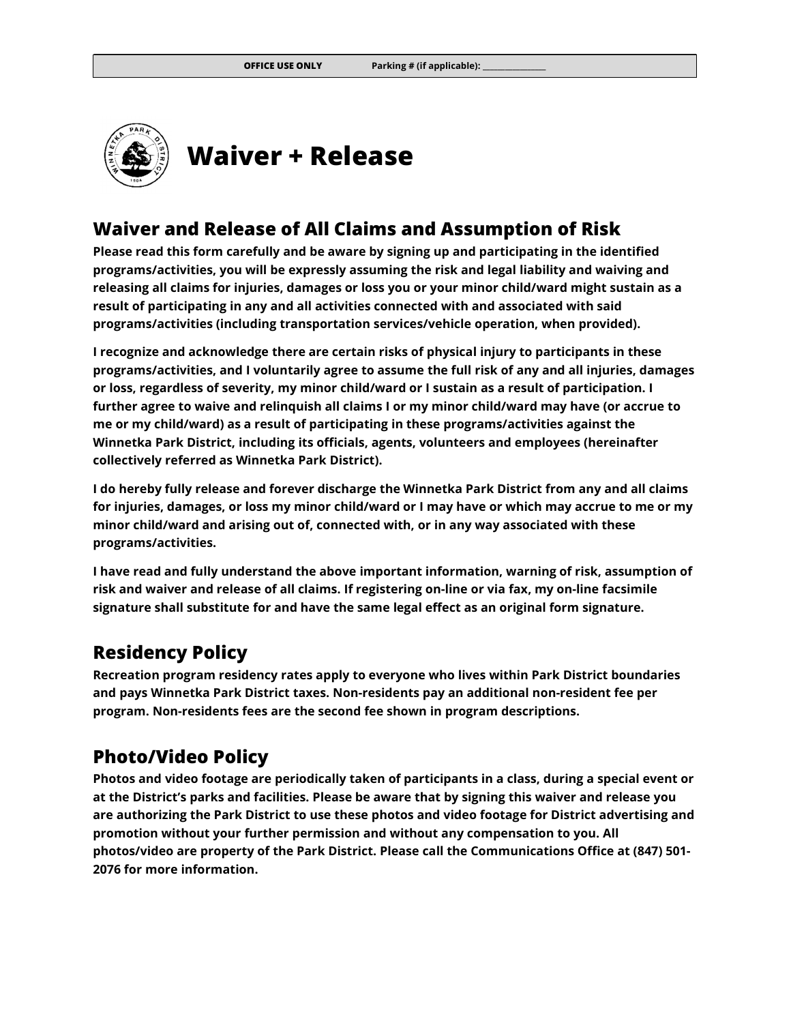

#### Waiver and Release of All Claims and Assumption of Risk

Please read this form carefully and be aware by signing up and participating in the identified programs/activities, you will be expressly assuming the risk and legal liability and waiving and releasing all claims for injuries, damages or loss you or your minor child/ward might sustain as a result of participating in any and all activities connected with and associated with said programs/activities (including transportation services/vehicle operation, when provided).

I recognize and acknowledge there are certain risks of physical injury to participants in these programs/activities, and I voluntarily agree to assume the full risk of any and all injuries, damages or loss, regardless of severity, my minor child/ward or I sustain as a result of participation. I further agree to waive and relinquish all claims I or my minor child/ward may have (or accrue to me or my child/ward) as a result of participating in these programs/activities against the Winnetka Park District, including its officials, agents, volunteers and employees (hereinafter collectively referred as Winnetka Park District).

I do hereby fully release and forever discharge the Winnetka Park District from any and all claims for injuries, damages, or loss my minor child/ward or I may have or which may accrue to me or my minor child/ward and arising out of, connected with, or in any way associated with these programs/activities.

I have read and fully understand the above important information, warning of risk, assumption of risk and waiver and release of all claims. If registering on-line or via fax, my on-line facsimile signature shall substitute for and have the same legal effect as an original form signature.

#### Residency Policy

Recreation program residency rates apply to everyone who lives within Park District boundaries and pays Winnetka Park District taxes. Non-residents pay an additional non-resident fee per program. Non-residents fees are the second fee shown in program descriptions.

### Photo/Video Policy

Photos and video footage are periodically taken of participants in a class, during a special event or at the District's parks and facilities. Please be aware that by signing this waiver and release you are authorizing the Park District to use these photos and video footage for District advertising and promotion without your further permission and without any compensation to you. All photos/video are property of the Park District. Please call the Communications Office at (847) 501- 2076 for more information.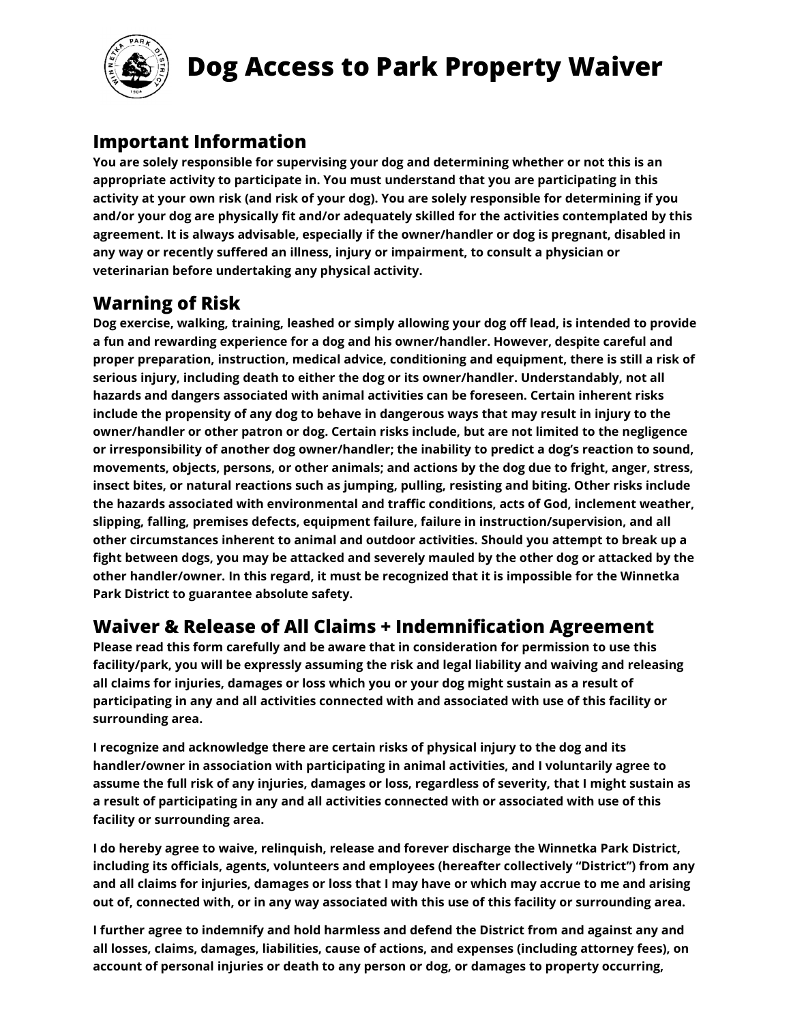

# Dog Access to Park Property Waiver

### Important Information

You are solely responsible for supervising your dog and determining whether or not this is an appropriate activity to participate in. You must understand that you are participating in this activity at your own risk (and risk of your dog). You are solely responsible for determining if you and/or your dog are physically fit and/or adequately skilled for the activities contemplated by this agreement. It is always advisable, especially if the owner/handler or dog is pregnant, disabled in any way or recently suffered an illness, injury or impairment, to consult a physician or veterinarian before undertaking any physical activity.

## Warning of Risk

Dog exercise, walking, training, leashed or simply allowing your dog off lead, is intended to provide a fun and rewarding experience for a dog and his owner/handler. However, despite careful and proper preparation, instruction, medical advice, conditioning and equipment, there is still a risk of serious injury, including death to either the dog or its owner/handler. Understandably, not all hazards and dangers associated with animal activities can be foreseen. Certain inherent risks include the propensity of any dog to behave in dangerous ways that may result in injury to the owner/handler or other patron or dog. Certain risks include, but are not limited to the negligence or irresponsibility of another dog owner/handler; the inability to predict a dog's reaction to sound, movements, objects, persons, or other animals; and actions by the dog due to fright, anger, stress, insect bites, or natural reactions such as jumping, pulling, resisting and biting. Other risks include the hazards associated with environmental and traffic conditions, acts of God, inclement weather, slipping, falling, premises defects, equipment failure, failure in instruction/supervision, and all other circumstances inherent to animal and outdoor activities. Should you attempt to break up a fight between dogs, you may be attacked and severely mauled by the other dog or attacked by the other handler/owner. In this regard, it must be recognized that it is impossible for the Winnetka Park District to guarantee absolute safety.

## Waiver & Release of All Claims + Indemnification Agreement

Please read this form carefully and be aware that in consideration for permission to use this facility/park, you will be expressly assuming the risk and legal liability and waiving and releasing all claims for injuries, damages or loss which you or your dog might sustain as a result of participating in any and all activities connected with and associated with use of this facility or surrounding area.

I recognize and acknowledge there are certain risks of physical injury to the dog and its handler/owner in association with participating in animal activities, and I voluntarily agree to assume the full risk of any injuries, damages or loss, regardless of severity, that I might sustain as a result of participating in any and all activities connected with or associated with use of this facility or surrounding area.

I do hereby agree to waive, relinquish, release and forever discharge the Winnetka Park District, including its officials, agents, volunteers and employees (hereafter collectively "District") from any and all claims for injuries, damages or loss that I may have or which may accrue to me and arising out of, connected with, or in any way associated with this use of this facility or surrounding area.

I further agree to indemnify and hold harmless and defend the District from and against any and all losses, claims, damages, liabilities, cause of actions, and expenses (including attorney fees), on account of personal injuries or death to any person or dog, or damages to property occurring,